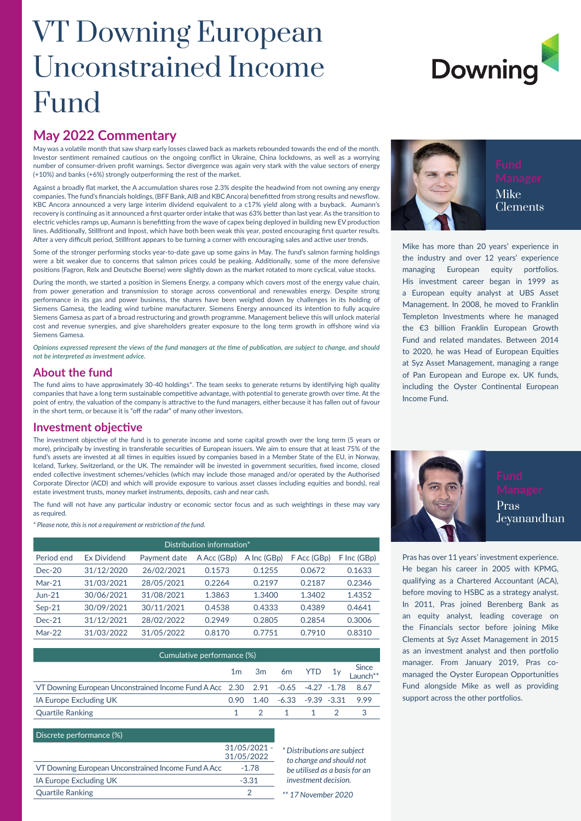## VT Downing European Unconstrained Income Fund

# **Downing**

#### **May 2022 Commentary**

May was a volatile month that saw sharp early losses clawed back as markets rebounded towards the end of the month. Investor sentiment remained cautious on the ongoing conflict in Ukraine, China lockdowns, as well as a worrying number of consumer-driven profit warnings. Sector divergence was again very stark with the value sectors of energy (+10%) and banks (+6%) strongly outperforming the rest of the market.

Against a broadly flat market, the A accumulation shares rose 2.3% despite the headwind from not owning any energy companies. The fund's financials holdings, (BFF Bank, AIB and KBC Ancora) benefitted from strong results and newsflow. KBC Ancora announced a very large interim dividend equivalent to a c17% yield along with a buyback. Aumann's recovery is continuing as it announced a first quarter order intake that was 63% better than last year. As the transition to electric vehicles ramps up, Aumann is benefitting from the wave of capex being deployed in building new EV production lines. Additionally, Stillfront and Inpost, which have both been weak this year, posted encouraging first quarter results. After a very difficult period, Stillfront appears to be turning a corner with encouraging sales and active user trends.

Some of the stronger performing stocks year-to-date gave up some gains in May. The fund's salmon farming holdings were a bit weaker due to concerns that salmon prices could be peaking. Additionally, some of the more defensive positions (Fagron, Relx and Deutsche Boerse) were slightly down as the market rotated to more cyclical, value stocks.

During the month, we started a position in Siemens Energy, a company which covers most of the energy value chain, from power generation and transmission to storage across conventional and renewables energy. Despite strong performance in its gas and power business, the shares have been weighed down by challenges in its holding of Siemens Gamesa, the leading wind turbine manufacturer. Siemens Energy announced its intention to fully acquire Siemens Gamesa as part of a broad restructuring and growth programme. Management believe this will unlock material cost and revenue synergies, and give shareholders greater exposure to the long term growth in offshore wind via Siemens Gamesa.

*Opinions expressed represent the views of the fund managers at the time of publication, are subject to change, and should not be interpreted as investment advice.*

#### **About the fund**

The fund aims to have approximately 30-40 holdings\*. The team seeks to generate returns by identifying high quality companies that have a long term sustainable competitive advantage, with potential to generate growth over time. At the point of entry, the valuation of the company is attractive to the fund managers, either because it has fallen out of favour in the short term, or because it is "off the radar" of many other investors.

#### **Investment objective**

The investment objective of the fund is to generate income and some capital growth over the long term (5 years or more), principally by investing in transferable securities of European issuers. We aim to ensure that at least 75% of the fund's assets are invested at all times in equities issued by companies based in a Member State of the EU, in Norway, Iceland, Turkey, Switzerland, or the UK. The remainder will be invested in government securities, fixed income, closed ended collective investment schemes/vehicles (which may include those managed and/or operated by the Authorised Corporate Director (ACD) and which will provide exposure to various asset classes including equities and bonds), real estate investment trusts, money market instruments, deposits, cash and near cash.

The fund will not have any particular industry or economic sector focus and as such weightings in these may vary as required.

*\* Please note, this is not a requirement or restriction of the fund.*

| Distribution information* |                    |              |                          |             |                          |             |  |  |
|---------------------------|--------------------|--------------|--------------------------|-------------|--------------------------|-------------|--|--|
| Period end                | <b>Ex Dividend</b> | Payment date | A Acc (GB <sub>D</sub> ) | A Inc (GBp) | F Acc (GB <sub>D</sub> ) | F Inc (GBp) |  |  |
| $Dec-20$                  | 31/12/2020         | 26/02/2021   | 0.1573                   | 0.1255      | 0.0672                   | 0.1633      |  |  |
| $Mar-21$                  | 31/03/2021         | 28/05/2021   | 0.2264                   | 0.2197      | 0.2187                   | 0.2346      |  |  |
| $Jun-21$                  | 30/06/2021         | 31/08/2021   | 1.3863                   | 1.3400      | 1.3402                   | 1.4352      |  |  |
| $Sep-21$                  | 30/09/2021         | 30/11/2021   | 0.4538                   | 0.4333      | 0.4389                   | 0.4641      |  |  |
| $Dec-21$                  | 31/12/2021         | 28/02/2022   | 0.2949                   | 0.2805      | 0.2854                   | 0.3006      |  |  |
| $Mar-22$                  | 31/03/2022         | 31/05/2022   | 0.8170                   | 0.7751      | 0.7910                   | 0.8310      |  |  |

| Cumulative performance (%)                                                           |  |  |                                              |  |  |                       |  |  |
|--------------------------------------------------------------------------------------|--|--|----------------------------------------------|--|--|-----------------------|--|--|
|                                                                                      |  |  |                                              |  |  | 1m 3m 6m YTD 1y Since |  |  |
| VT Downing European Unconstrained Income Fund A Acc 2.30 2.91 -0.65 -4.27 -1.78 8.67 |  |  |                                              |  |  |                       |  |  |
| IA Europe Excluding UK                                                               |  |  | $0.90$ $1.40$ $-6.33$ $-9.39$ $-3.31$ $9.99$ |  |  |                       |  |  |
| <b>Quartile Ranking</b>                                                              |  |  | 1 2 1 1 2 3                                  |  |  |                       |  |  |

#### Discrete performance (%)

|                                                     | $31/05/2021 -$ |
|-----------------------------------------------------|----------------|
|                                                     | 31/05/2022     |
| VT Downing European Unconstrained Income Fund A Acc | $-178$         |
| IA Europe Excluding UK                              | $-3.31$        |
| <b>Quartile Ranking</b>                             |                |

*\* Distributions are subject to change and should not be utilised as a basis for an investment decision.*





Clements

Mike has more than 20 years' experience in the industry and over 12 years' experience managing European equity portfolios. His investment career began in 1999 as a European equity analyst at UBS Asset Management. In 2008, he moved to Franklin Templeton Investments where he managed the €3 billion Franklin European Growth Fund and related mandates. Between 2014 to 2020, he was Head of European Equities at Syz Asset Management, managing a range of Pan European and Europe ex. UK funds, including the Oyster Continental European Income Fund.



Pras has over 11 years' investment experience. He began his career in 2005 with KPMG, qualifying as a Chartered Accountant (ACA), before moving to HSBC as a strategy analyst. In 2011, Pras joined Berenberg Bank as an equity analyst, leading coverage on the Financials sector before joining Mike Clements at Syz Asset Management in 2015 as an investment analyst and then portfolio manager. From January 2019, Pras comanaged the Oyster European Opportunities Fund alongside Mike as well as providing support across the other portfolios.